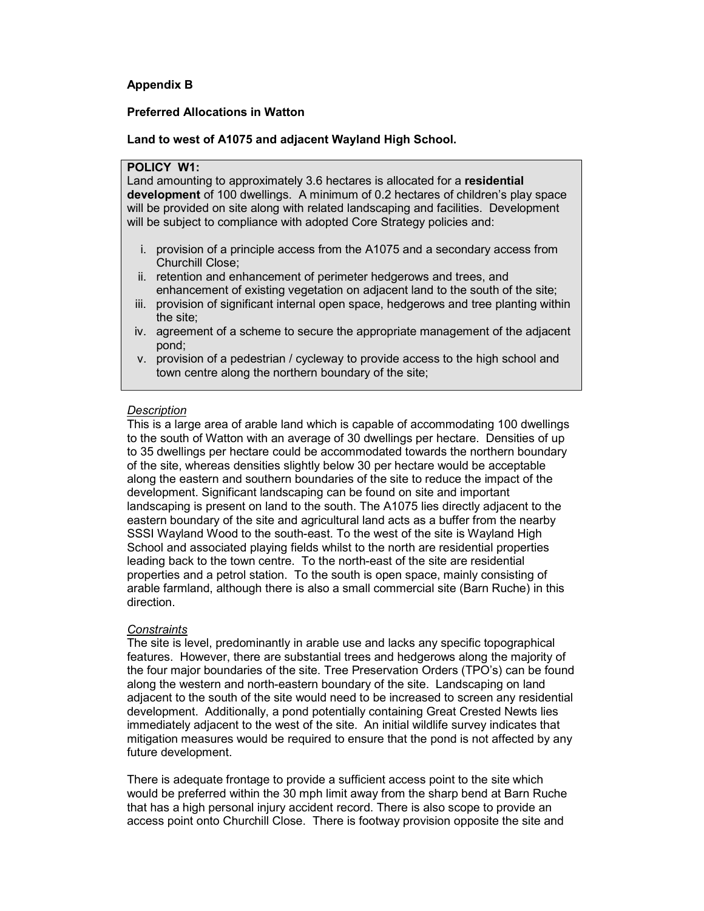# Appendix B

## Preferred Allocations in Watton

# Land to west of A1075 and adjacent Wayland High School.

# POLICY W1:

Land amounting to approximately 3.6 hectares is allocated for a residential development of 100 dwellings. A minimum of 0.2 hectares of children's play space will be provided on site along with related landscaping and facilities. Development will be subject to compliance with adopted Core Strategy policies and:

- i. provision of a principle access from the A1075 and a secondary access from Churchill Close;
- ii. retention and enhancement of perimeter hedgerows and trees, and enhancement of existing vegetation on adjacent land to the south of the site;
- iii. provision of significant internal open space, hedgerows and tree planting within the site;
- iv. agreement of a scheme to secure the appropriate management of the adjacent pond;
- v. provision of a pedestrian / cycleway to provide access to the high school and town centre along the northern boundary of the site;

# **Description**

This is a large area of arable land which is capable of accommodating 100 dwellings to the south of Watton with an average of 30 dwellings per hectare. Densities of up to 35 dwellings per hectare could be accommodated towards the northern boundary of the site, whereas densities slightly below 30 per hectare would be acceptable along the eastern and southern boundaries of the site to reduce the impact of the development. Significant landscaping can be found on site and important landscaping is present on land to the south. The A1075 lies directly adjacent to the eastern boundary of the site and agricultural land acts as a buffer from the nearby SSSI Wayland Wood to the south-east. To the west of the site is Wayland High School and associated playing fields whilst to the north are residential properties leading back to the town centre. To the north-east of the site are residential properties and a petrol station. To the south is open space, mainly consisting of arable farmland, although there is also a small commercial site (Barn Ruche) in this direction.

## **Constraints**

The site is level, predominantly in arable use and lacks any specific topographical features. However, there are substantial trees and hedgerows along the majority of the four major boundaries of the site. Tree Preservation Orders (TPO's) can be found along the western and north-eastern boundary of the site. Landscaping on land adjacent to the south of the site would need to be increased to screen any residential development. Additionally, a pond potentially containing Great Crested Newts lies immediately adjacent to the west of the site. An initial wildlife survey indicates that mitigation measures would be required to ensure that the pond is not affected by any future development.

There is adequate frontage to provide a sufficient access point to the site which would be preferred within the 30 mph limit away from the sharp bend at Barn Ruche that has a high personal injury accident record. There is also scope to provide an access point onto Churchill Close. There is footway provision opposite the site and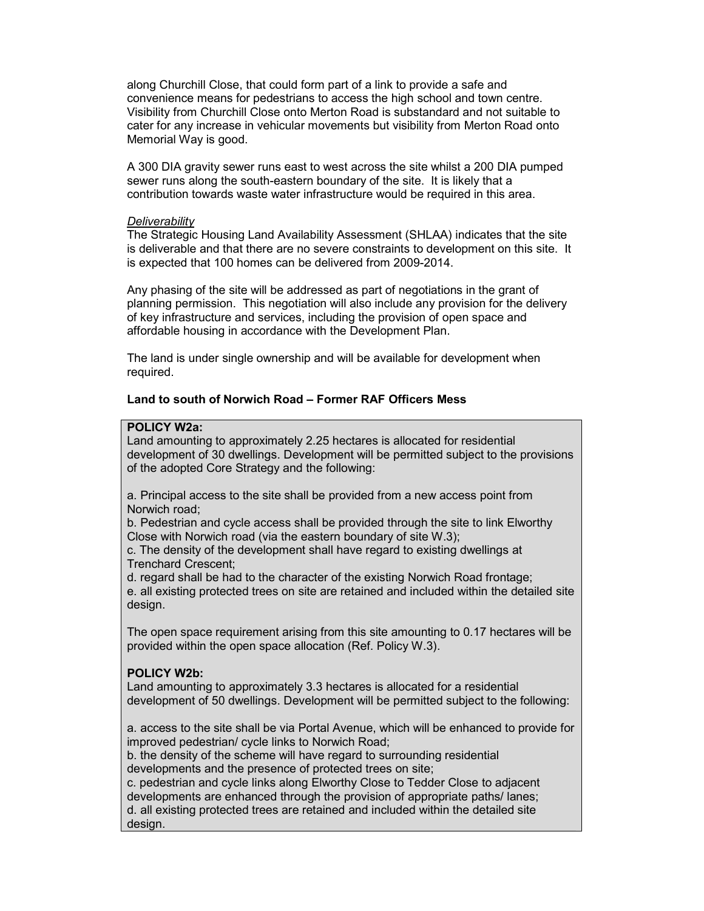along Churchill Close, that could form part of a link to provide a safe and convenience means for pedestrians to access the high school and town centre. Visibility from Churchill Close onto Merton Road is substandard and not suitable to cater for any increase in vehicular movements but visibility from Merton Road onto Memorial Way is good.

A 300 DIA gravity sewer runs east to west across the site whilst a 200 DIA pumped sewer runs along the south-eastern boundary of the site. It is likely that a contribution towards waste water infrastructure would be required in this area.

### **Deliverability**

The Strategic Housing Land Availability Assessment (SHLAA) indicates that the site is deliverable and that there are no severe constraints to development on this site. It is expected that 100 homes can be delivered from 2009-2014.

Any phasing of the site will be addressed as part of negotiations in the grant of planning permission. This negotiation will also include any provision for the delivery of key infrastructure and services, including the provision of open space and affordable housing in accordance with the Development Plan.

The land is under single ownership and will be available for development when required.

# Land to south of Norwich Road – Former RAF Officers Mess

# POLICY W2a:

Land amounting to approximately 2.25 hectares is allocated for residential development of 30 dwellings. Development will be permitted subject to the provisions of the adopted Core Strategy and the following:

a. Principal access to the site shall be provided from a new access point from Norwich road;

b. Pedestrian and cycle access shall be provided through the site to link Elworthy Close with Norwich road (via the eastern boundary of site W.3);

c. The density of the development shall have regard to existing dwellings at Trenchard Crescent;

d. regard shall be had to the character of the existing Norwich Road frontage; e. all existing protected trees on site are retained and included within the detailed site design.

The open space requirement arising from this site amounting to 0.17 hectares will be provided within the open space allocation (Ref. Policy W.3).

### POLICY W2b:

Land amounting to approximately 3.3 hectares is allocated for a residential development of 50 dwellings. Development will be permitted subject to the following:

a. access to the site shall be via Portal Avenue, which will be enhanced to provide for improved pedestrian/ cycle links to Norwich Road;

b. the density of the scheme will have regard to surrounding residential developments and the presence of protected trees on site;

c. pedestrian and cycle links along Elworthy Close to Tedder Close to adjacent developments are enhanced through the provision of appropriate paths/ lanes; d. all existing protected trees are retained and included within the detailed site design.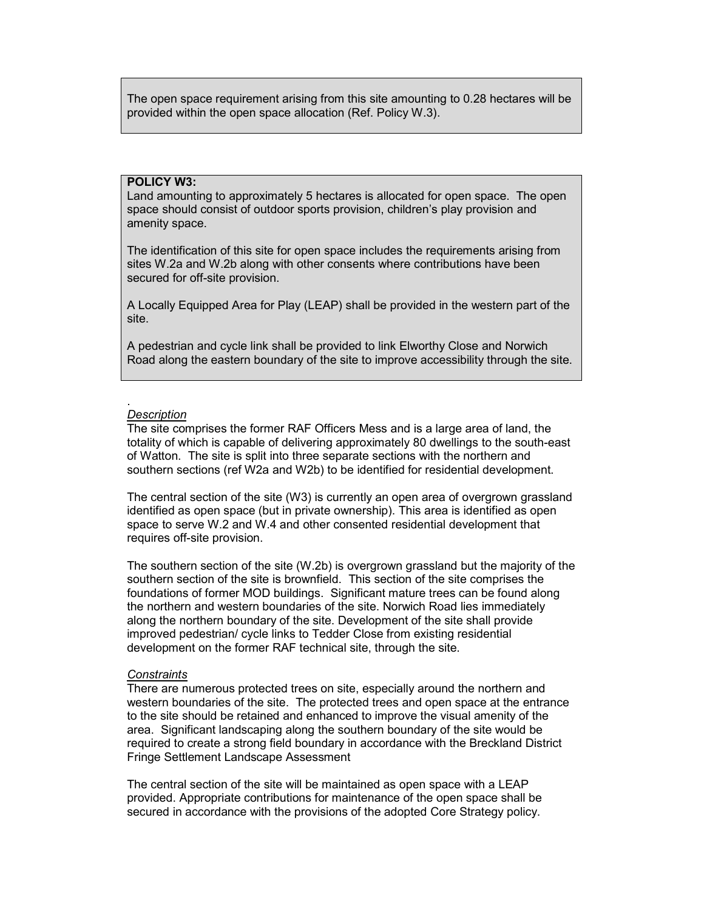The open space requirement arising from this site amounting to 0.28 hectares will be provided within the open space allocation (Ref. Policy W.3).

# POLICY W3:

Land amounting to approximately 5 hectares is allocated for open space. The open space should consist of outdoor sports provision, children's play provision and amenity space.

The identification of this site for open space includes the requirements arising from sites W.2a and W.2b along with other consents where contributions have been secured for off-site provision.

A Locally Equipped Area for Play (LEAP) shall be provided in the western part of the site.

A pedestrian and cycle link shall be provided to link Elworthy Close and Norwich Road along the eastern boundary of the site to improve accessibility through the site.

#### . **Description**

The site comprises the former RAF Officers Mess and is a large area of land, the totality of which is capable of delivering approximately 80 dwellings to the south-east of Watton. The site is split into three separate sections with the northern and southern sections (ref W2a and W2b) to be identified for residential development.

The central section of the site (W3) is currently an open area of overgrown grassland identified as open space (but in private ownership). This area is identified as open space to serve W.2 and W.4 and other consented residential development that requires off-site provision.

The southern section of the site (W.2b) is overgrown grassland but the majority of the southern section of the site is brownfield. This section of the site comprises the foundations of former MOD buildings. Significant mature trees can be found along the northern and western boundaries of the site. Norwich Road lies immediately along the northern boundary of the site. Development of the site shall provide improved pedestrian/ cycle links to Tedder Close from existing residential development on the former RAF technical site, through the site.

### **Constraints**

There are numerous protected trees on site, especially around the northern and western boundaries of the site. The protected trees and open space at the entrance to the site should be retained and enhanced to improve the visual amenity of the area. Significant landscaping along the southern boundary of the site would be required to create a strong field boundary in accordance with the Breckland District Fringe Settlement Landscape Assessment

The central section of the site will be maintained as open space with a LEAP provided. Appropriate contributions for maintenance of the open space shall be secured in accordance with the provisions of the adopted Core Strategy policy.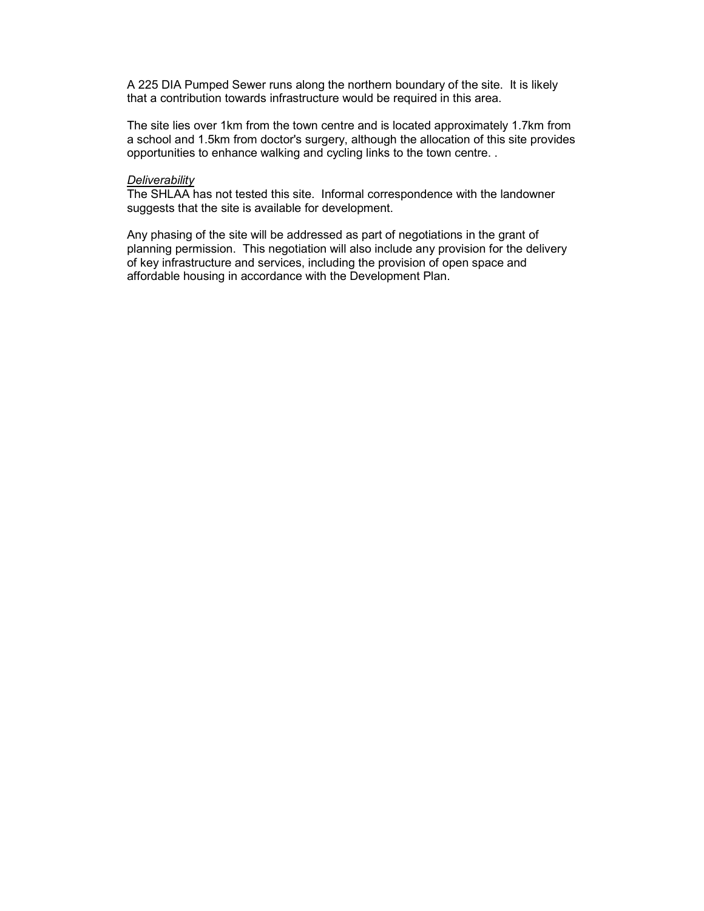A 225 DIA Pumped Sewer runs along the northern boundary of the site. It is likely that a contribution towards infrastructure would be required in this area.

The site lies over 1km from the town centre and is located approximately 1.7km from a school and 1.5km from doctor's surgery, although the allocation of this site provides opportunities to enhance walking and cycling links to the town centre. .

# **Deliverability**

The SHLAA has not tested this site. Informal correspondence with the landowner suggests that the site is available for development.

Any phasing of the site will be addressed as part of negotiations in the grant of planning permission. This negotiation will also include any provision for the delivery of key infrastructure and services, including the provision of open space and affordable housing in accordance with the Development Plan.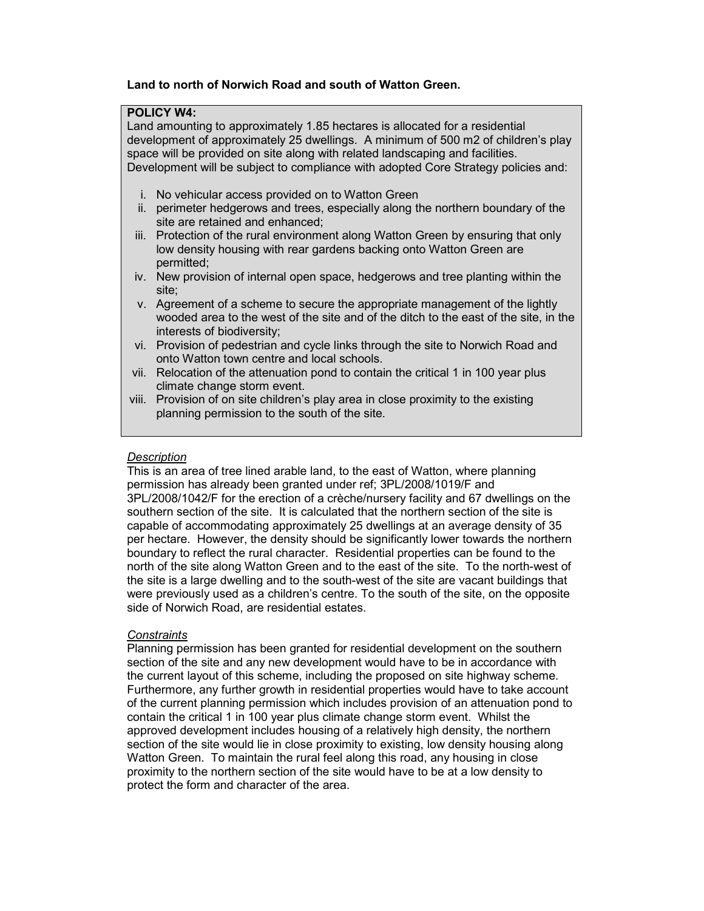# Land to north of Norwich Road and south of Watton Green.

# POLICY W4:

Land amounting to approximately 1.85 hectares is allocated for a residential development of approximately 25 dwellings. A minimum of 500 m2 of children's play space will be provided on site along with related landscaping and facilities. Development will be subject to compliance with adopted Core Strategy policies and:

- i. No vehicular access provided on to Watton Green
- ii. perimeter hedgerows and trees, especially along the northern boundary of the site are retained and enhanced;
- iii. Protection of the rural environment along Watton Green by ensuring that only low density housing with rear gardens backing onto Watton Green are permitted;
- iv. New provision of internal open space, hedgerows and tree planting within the site;
- v. Agreement of a scheme to secure the appropriate management of the lightly wooded area to the west of the site and of the ditch to the east of the site, in the interests of biodiversity;
- vi. Provision of pedestrian and cycle links through the site to Norwich Road and onto Watton town centre and local schools.
- vii. Relocation of the attenuation pond to contain the critical 1 in 100 year plus climate change storm event.
- viii. Provision of on site children's play area in close proximity to the existing planning permission to the south of the site.

#### **Description**

This is an area of tree lined arable land, to the east of Watton, where planning permission has already been granted under ref; 3PL/2008/1019/F and 3PL/2008/1042/F for the erection of a crèche/nursery facility and 67 dwellings on the southern section of the site. It is calculated that the northern section of the site is capable of accommodating approximately 25 dwellings at an average density of 35 per hectare. However, the density should be significantly lower towards the northern boundary to reflect the rural character. Residential properties can be found to the north of the site along Watton Green and to the east of the site. To the north-west of the site is a large dwelling and to the south-west of the site are vacant buildings that were previously used as a children's centre. To the south of the site, on the opposite side of Norwich Road, are residential estates.

### **Constraints**

Planning permission has been granted for residential development on the southern section of the site and any new development would have to be in accordance with the current layout of this scheme, including the proposed on site highway scheme. Furthermore, any further growth in residential properties would have to take account of the current planning permission which includes provision of an attenuation pond to contain the critical 1 in 100 year plus climate change storm event. Whilst the approved development includes housing of a relatively high density, the northern section of the site would lie in close proximity to existing, low density housing along Watton Green. To maintain the rural feel along this road, any housing in close proximity to the northern section of the site would have to be at a low density to protect the form and character of the area.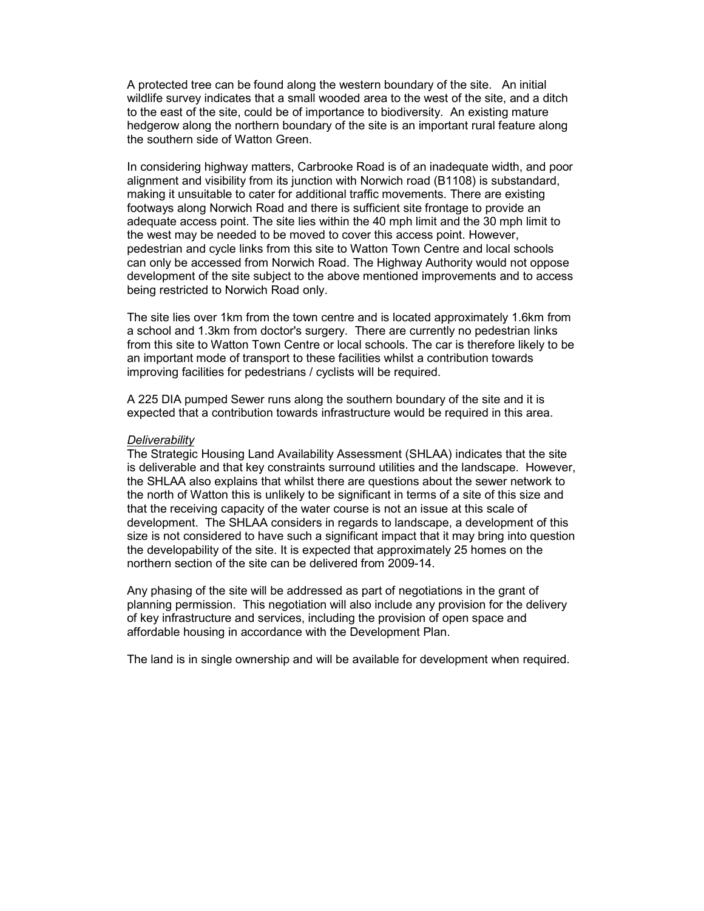A protected tree can be found along the western boundary of the site. An initial wildlife survey indicates that a small wooded area to the west of the site, and a ditch to the east of the site, could be of importance to biodiversity. An existing mature hedgerow along the northern boundary of the site is an important rural feature along the southern side of Watton Green.

In considering highway matters, Carbrooke Road is of an inadequate width, and poor alignment and visibility from its junction with Norwich road (B1108) is substandard, making it unsuitable to cater for additional traffic movements. There are existing footways along Norwich Road and there is sufficient site frontage to provide an adequate access point. The site lies within the 40 mph limit and the 30 mph limit to the west may be needed to be moved to cover this access point. However, pedestrian and cycle links from this site to Watton Town Centre and local schools can only be accessed from Norwich Road. The Highway Authority would not oppose development of the site subject to the above mentioned improvements and to access being restricted to Norwich Road only.

The site lies over 1km from the town centre and is located approximately 1.6km from a school and 1.3km from doctor's surgery. There are currently no pedestrian links from this site to Watton Town Centre or local schools. The car is therefore likely to be an important mode of transport to these facilities whilst a contribution towards improving facilities for pedestrians / cyclists will be required.

A 225 DIA pumped Sewer runs along the southern boundary of the site and it is expected that a contribution towards infrastructure would be required in this area.

#### **Deliverability**

The Strategic Housing Land Availability Assessment (SHLAA) indicates that the site is deliverable and that key constraints surround utilities and the landscape. However, the SHLAA also explains that whilst there are questions about the sewer network to the north of Watton this is unlikely to be significant in terms of a site of this size and that the receiving capacity of the water course is not an issue at this scale of development. The SHLAA considers in regards to landscape, a development of this size is not considered to have such a significant impact that it may bring into question the developability of the site. It is expected that approximately 25 homes on the northern section of the site can be delivered from 2009-14.

Any phasing of the site will be addressed as part of negotiations in the grant of planning permission. This negotiation will also include any provision for the delivery of key infrastructure and services, including the provision of open space and affordable housing in accordance with the Development Plan.

The land is in single ownership and will be available for development when required.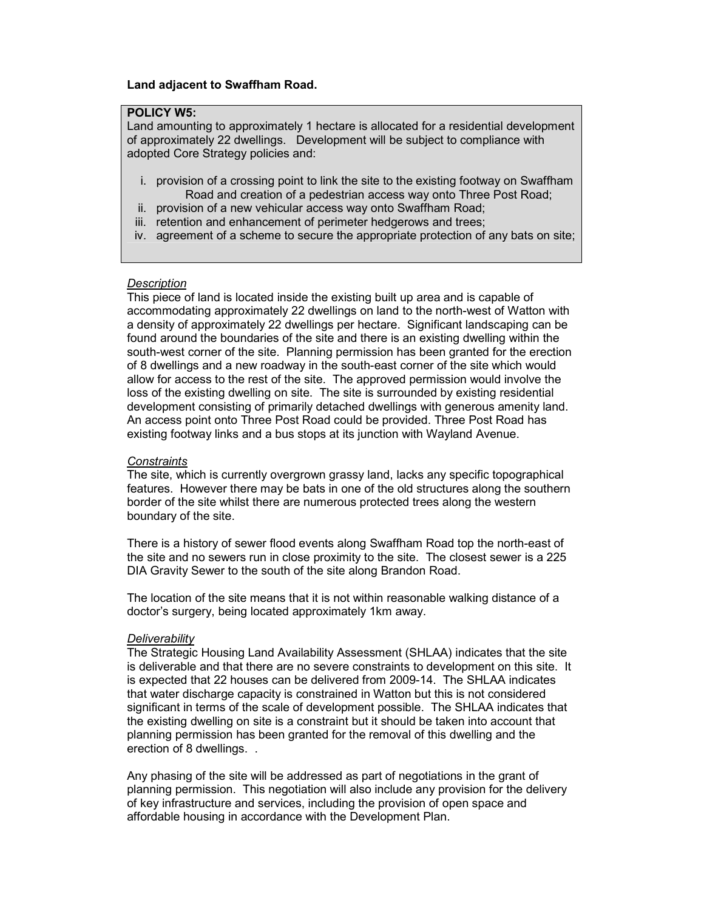## Land adjacent to Swaffham Road.

# POLICY W5:

Land amounting to approximately 1 hectare is allocated for a residential development of approximately 22 dwellings. Development will be subject to compliance with adopted Core Strategy policies and:

- i. provision of a crossing point to link the site to the existing footway on Swaffham Road and creation of a pedestrian access way onto Three Post Road;
- ii. provision of a new vehicular access way onto Swaffham Road;
- iii. retention and enhancement of perimeter hedgerows and trees;
- iv. agreement of a scheme to secure the appropriate protection of any bats on site;

## **Description**

This piece of land is located inside the existing built up area and is capable of accommodating approximately 22 dwellings on land to the north-west of Watton with a density of approximately 22 dwellings per hectare. Significant landscaping can be found around the boundaries of the site and there is an existing dwelling within the south-west corner of the site. Planning permission has been granted for the erection of 8 dwellings and a new roadway in the south-east corner of the site which would allow for access to the rest of the site. The approved permission would involve the loss of the existing dwelling on site. The site is surrounded by existing residential development consisting of primarily detached dwellings with generous amenity land. An access point onto Three Post Road could be provided. Three Post Road has existing footway links and a bus stops at its junction with Wayland Avenue.

#### **Constraints**

The site, which is currently overgrown grassy land, lacks any specific topographical features. However there may be bats in one of the old structures along the southern border of the site whilst there are numerous protected trees along the western boundary of the site.

There is a history of sewer flood events along Swaffham Road top the north-east of the site and no sewers run in close proximity to the site. The closest sewer is a 225 DIA Gravity Sewer to the south of the site along Brandon Road.

The location of the site means that it is not within reasonable walking distance of a doctor's surgery, being located approximately 1km away.

#### **Deliverability**

The Strategic Housing Land Availability Assessment (SHLAA) indicates that the site is deliverable and that there are no severe constraints to development on this site. It is expected that 22 houses can be delivered from 2009-14. The SHLAA indicates that water discharge capacity is constrained in Watton but this is not considered significant in terms of the scale of development possible. The SHLAA indicates that the existing dwelling on site is a constraint but it should be taken into account that planning permission has been granted for the removal of this dwelling and the erection of 8 dwellings. .

Any phasing of the site will be addressed as part of negotiations in the grant of planning permission. This negotiation will also include any provision for the delivery of key infrastructure and services, including the provision of open space and affordable housing in accordance with the Development Plan.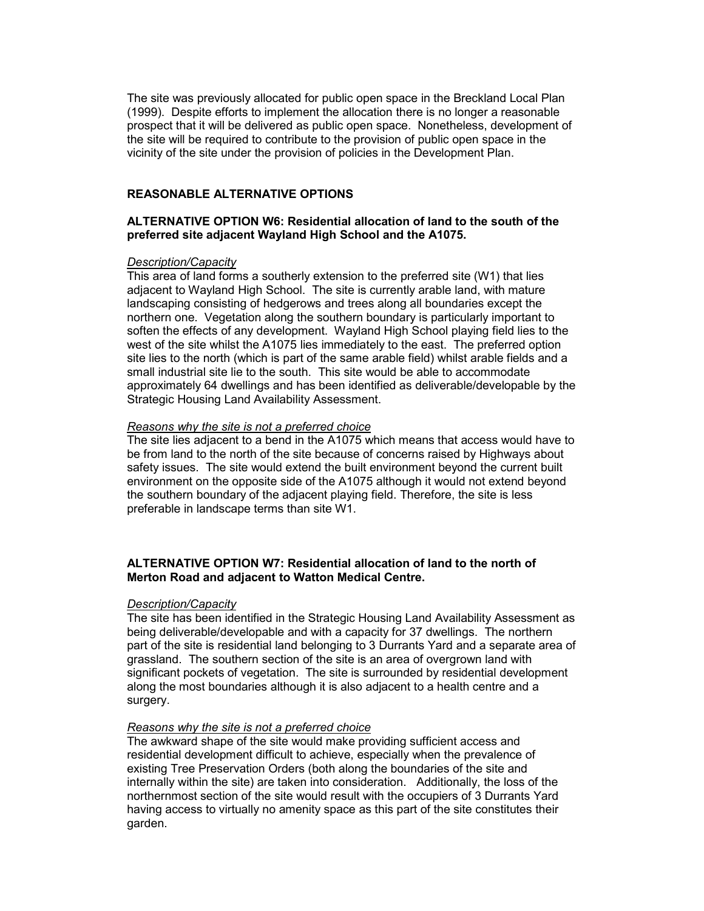The site was previously allocated for public open space in the Breckland Local Plan (1999). Despite efforts to implement the allocation there is no longer a reasonable prospect that it will be delivered as public open space. Nonetheless, development of the site will be required to contribute to the provision of public open space in the vicinity of the site under the provision of policies in the Development Plan.

#### REASONABLE ALTERNATIVE OPTIONS

## ALTERNATIVE OPTION W6: Residential allocation of land to the south of the preferred site adjacent Wayland High School and the A1075.

# Description/Capacity

This area of land forms a southerly extension to the preferred site (W1) that lies adjacent to Wayland High School. The site is currently arable land, with mature landscaping consisting of hedgerows and trees along all boundaries except the northern one. Vegetation along the southern boundary is particularly important to soften the effects of any development. Wayland High School playing field lies to the west of the site whilst the A1075 lies immediately to the east. The preferred option site lies to the north (which is part of the same arable field) whilst arable fields and a small industrial site lie to the south. This site would be able to accommodate approximately 64 dwellings and has been identified as deliverable/developable by the Strategic Housing Land Availability Assessment.

#### Reasons why the site is not a preferred choice

The site lies adjacent to a bend in the A1075 which means that access would have to be from land to the north of the site because of concerns raised by Highways about safety issues. The site would extend the built environment beyond the current built environment on the opposite side of the A1075 although it would not extend beyond the southern boundary of the adjacent playing field. Therefore, the site is less preferable in landscape terms than site W1.

# ALTERNATIVE OPTION W7: Residential allocation of land to the north of Merton Road and adjacent to Watton Medical Centre.

### Description/Capacity

The site has been identified in the Strategic Housing Land Availability Assessment as being deliverable/developable and with a capacity for 37 dwellings. The northern part of the site is residential land belonging to 3 Durrants Yard and a separate area of grassland. The southern section of the site is an area of overgrown land with significant pockets of vegetation. The site is surrounded by residential development along the most boundaries although it is also adjacent to a health centre and a surgery.

### Reasons why the site is not a preferred choice

The awkward shape of the site would make providing sufficient access and residential development difficult to achieve, especially when the prevalence of existing Tree Preservation Orders (both along the boundaries of the site and internally within the site) are taken into consideration. Additionally, the loss of the northernmost section of the site would result with the occupiers of 3 Durrants Yard having access to virtually no amenity space as this part of the site constitutes their garden.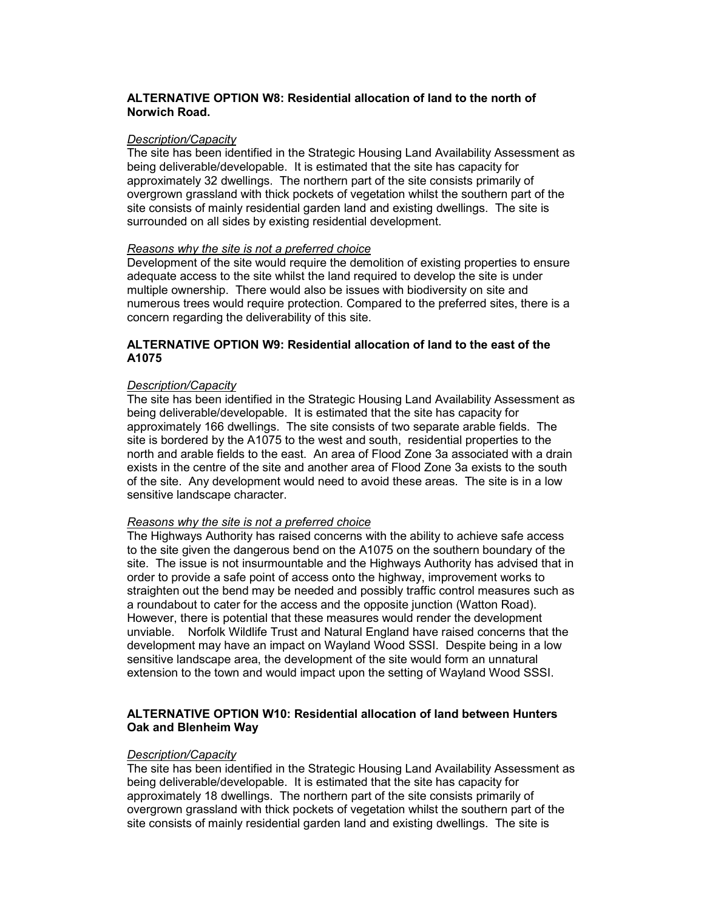# ALTERNATIVE OPTION W8: Residential allocation of land to the north of Norwich Road.

## Description/Capacitv

The site has been identified in the Strategic Housing Land Availability Assessment as being deliverable/developable. It is estimated that the site has capacity for approximately 32 dwellings. The northern part of the site consists primarily of overgrown grassland with thick pockets of vegetation whilst the southern part of the site consists of mainly residential garden land and existing dwellings. The site is surrounded on all sides by existing residential development.

# Reasons why the site is not a preferred choice

Development of the site would require the demolition of existing properties to ensure adequate access to the site whilst the land required to develop the site is under multiple ownership. There would also be issues with biodiversity on site and numerous trees would require protection. Compared to the preferred sites, there is a concern regarding the deliverability of this site.

# ALTERNATIVE OPTION W9: Residential allocation of land to the east of the A1075

### Description/Capacity

The site has been identified in the Strategic Housing Land Availability Assessment as being deliverable/developable. It is estimated that the site has capacity for approximately 166 dwellings. The site consists of two separate arable fields. The site is bordered by the A1075 to the west and south, residential properties to the north and arable fields to the east. An area of Flood Zone 3a associated with a drain exists in the centre of the site and another area of Flood Zone 3a exists to the south of the site. Any development would need to avoid these areas. The site is in a low sensitive landscape character.

# Reasons why the site is not a preferred choice

The Highways Authority has raised concerns with the ability to achieve safe access to the site given the dangerous bend on the A1075 on the southern boundary of the site. The issue is not insurmountable and the Highways Authority has advised that in order to provide a safe point of access onto the highway, improvement works to straighten out the bend may be needed and possibly traffic control measures such as a roundabout to cater for the access and the opposite junction (Watton Road). However, there is potential that these measures would render the development unviable. Norfolk Wildlife Trust and Natural England have raised concerns that the development may have an impact on Wayland Wood SSSI. Despite being in a low sensitive landscape area, the development of the site would form an unnatural extension to the town and would impact upon the setting of Wayland Wood SSSI.

### ALTERNATIVE OPTION W10: Residential allocation of land between Hunters Oak and Blenheim Way

#### Description/Capacity

The site has been identified in the Strategic Housing Land Availability Assessment as being deliverable/developable. It is estimated that the site has capacity for approximately 18 dwellings. The northern part of the site consists primarily of overgrown grassland with thick pockets of vegetation whilst the southern part of the site consists of mainly residential garden land and existing dwellings. The site is